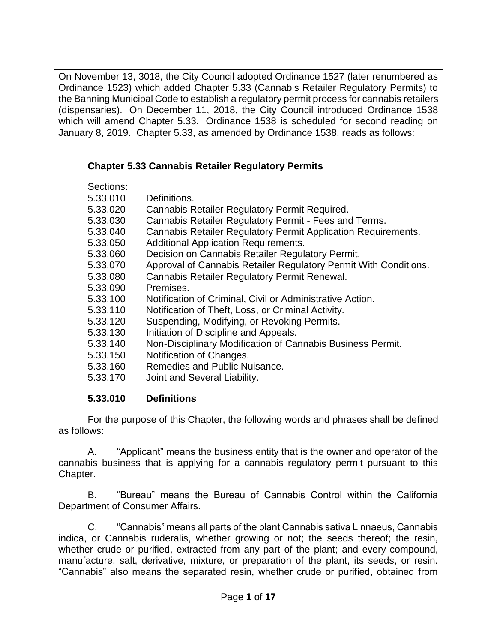On November 13, 3018, the City Council adopted Ordinance 1527 (later renumbered as Ordinance 1523) which added Chapter 5.33 (Cannabis Retailer Regulatory Permits) to the Banning Municipal Code to establish a regulatory permit process for cannabis retailers (dispensaries). On December 11, 2018, the City Council introduced Ordinance 1538 which will amend Chapter 5.33. Ordinance 1538 is scheduled for second reading on January 8, 2019. Chapter 5.33, as amended by Ordinance 1538, reads as follows:

### **Chapter 5.33 Cannabis Retailer Regulatory Permits**

| Sections: |                                                                  |
|-----------|------------------------------------------------------------------|
| 5.33.010  | Definitions.                                                     |
| 5.33.020  | Cannabis Retailer Regulatory Permit Required.                    |
| 5.33.030  | Cannabis Retailer Regulatory Permit - Fees and Terms.            |
| 5.33.040  | Cannabis Retailer Regulatory Permit Application Requirements.    |
| 5.33.050  | <b>Additional Application Requirements.</b>                      |
| 5.33.060  | Decision on Cannabis Retailer Regulatory Permit.                 |
| 5.33.070  | Approval of Cannabis Retailer Regulatory Permit With Conditions. |
| 5.33.080  | Cannabis Retailer Regulatory Permit Renewal.                     |
| 5.33.090  | Premises.                                                        |
| 5.33.100  | Notification of Criminal, Civil or Administrative Action.        |
| 5.33.110  | Notification of Theft, Loss, or Criminal Activity.               |
| 5.33.120  | Suspending, Modifying, or Revoking Permits.                      |
| 5.33.130  | Initiation of Discipline and Appeals.                            |
| 5.33.140  | Non-Disciplinary Modification of Cannabis Business Permit.       |
| 5.33.150  | Notification of Changes.                                         |
| 5.33.160  | Remedies and Public Nuisance.                                    |
| 5.33.170  | Joint and Several Liability.                                     |
|           |                                                                  |

#### **5.33.010 Definitions**

For the purpose of this Chapter, the following words and phrases shall be defined as follows:

A. "Applicant" means the business entity that is the owner and operator of the cannabis business that is applying for a cannabis regulatory permit pursuant to this Chapter.

B. "Bureau" means the Bureau of Cannabis Control within the California Department of Consumer Affairs.

C. "Cannabis" means all parts of the plant Cannabis sativa Linnaeus, Cannabis indica, or Cannabis ruderalis, whether growing or not; the seeds thereof; the resin, whether crude or purified, extracted from any part of the plant; and every compound, manufacture, salt, derivative, mixture, or preparation of the plant, its seeds, or resin. "Cannabis" also means the separated resin, whether crude or purified, obtained from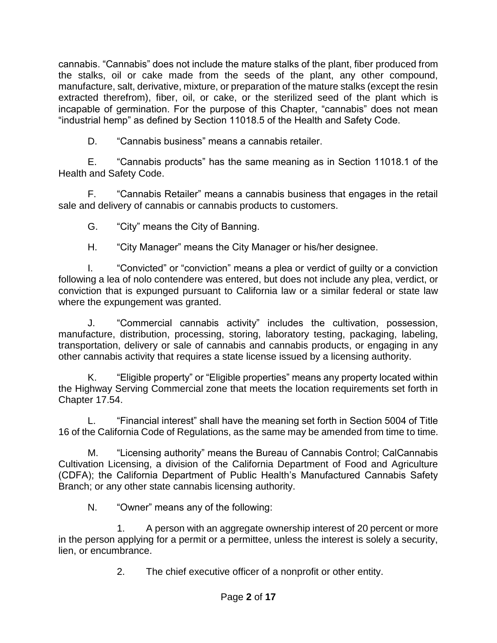cannabis. "Cannabis" does not include the mature stalks of the plant, fiber produced from the stalks, oil or cake made from the seeds of the plant, any other compound, manufacture, salt, derivative, mixture, or preparation of the mature stalks (except the resin extracted therefrom), fiber, oil, or cake, or the sterilized seed of the plant which is incapable of germination. For the purpose of this Chapter, "cannabis" does not mean "industrial hemp" as defined by Section 11018.5 of the Health and Safety Code.

D. "Cannabis business" means a cannabis retailer.

E. "Cannabis products" has the same meaning as in Section 11018.1 of the Health and Safety Code.

F. "Cannabis Retailer" means a cannabis business that engages in the retail sale and delivery of cannabis or cannabis products to customers.

G. "City" means the City of Banning.

H. "City Manager" means the City Manager or his/her designee.

I. "Convicted" or "conviction" means a plea or verdict of guilty or a conviction following a lea of nolo contendere was entered, but does not include any plea, verdict, or conviction that is expunged pursuant to California law or a similar federal or state law where the expungement was granted.

J. "Commercial cannabis activity" includes the cultivation, possession, manufacture, distribution, processing, storing, laboratory testing, packaging, labeling, transportation, delivery or sale of cannabis and cannabis products, or engaging in any other cannabis activity that requires a state license issued by a licensing authority.

K. "Eligible property" or "Eligible properties" means any property located within the Highway Serving Commercial zone that meets the location requirements set forth in Chapter 17.54.

L. "Financial interest" shall have the meaning set forth in Section 5004 of Title 16 of the California Code of Regulations, as the same may be amended from time to time.

M. "Licensing authority" means the Bureau of Cannabis Control; CalCannabis Cultivation Licensing, a division of the California Department of Food and Agriculture (CDFA); the California Department of Public Health's Manufactured Cannabis Safety Branch; or any other state cannabis licensing authority.

N. "Owner" means any of the following:

1. A person with an aggregate ownership interest of 20 percent or more in the person applying for a permit or a permittee, unless the interest is solely a security, lien, or encumbrance.

2. The chief executive officer of a nonprofit or other entity.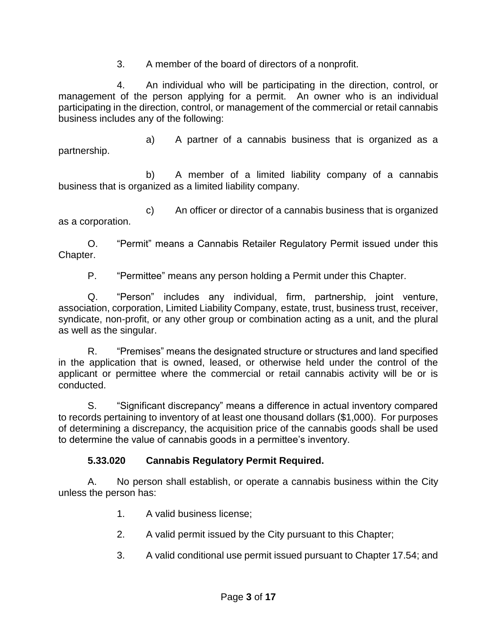3. A member of the board of directors of a nonprofit.

4. An individual who will be participating in the direction, control, or management of the person applying for a permit. An owner who is an individual participating in the direction, control, or management of the commercial or retail cannabis business includes any of the following:

a) A partner of a cannabis business that is organized as a partnership.

b) A member of a limited liability company of a cannabis business that is organized as a limited liability company.

c) An officer or director of a cannabis business that is organized as a corporation.

O. "Permit" means a Cannabis Retailer Regulatory Permit issued under this Chapter.

P. "Permittee" means any person holding a Permit under this Chapter.

Q. "Person" includes any individual, firm, partnership, joint venture, association, corporation, Limited Liability Company, estate, trust, business trust, receiver, syndicate, non-profit, or any other group or combination acting as a unit, and the plural as well as the singular.

R. "Premises" means the designated structure or structures and land specified in the application that is owned, leased, or otherwise held under the control of the applicant or permittee where the commercial or retail cannabis activity will be or is conducted.

S. "Significant discrepancy" means a difference in actual inventory compared to records pertaining to inventory of at least one thousand dollars (\$1,000). For purposes of determining a discrepancy, the acquisition price of the cannabis goods shall be used to determine the value of cannabis goods in a permittee's inventory.

### **5.33.020 Cannabis Regulatory Permit Required.**

A. No person shall establish, or operate a cannabis business within the City unless the person has:

1. A valid business license;

- 2. A valid permit issued by the City pursuant to this Chapter;
- 3. A valid conditional use permit issued pursuant to Chapter 17.54; and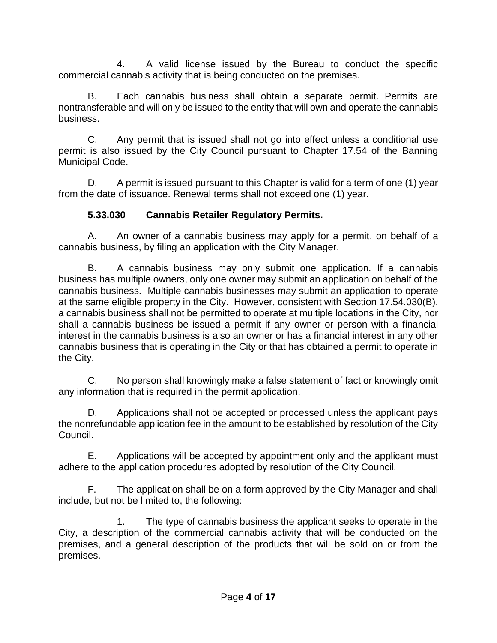4. A valid license issued by the Bureau to conduct the specific commercial cannabis activity that is being conducted on the premises.

B. Each cannabis business shall obtain a separate permit. Permits are nontransferable and will only be issued to the entity that will own and operate the cannabis business.

C. Any permit that is issued shall not go into effect unless a conditional use permit is also issued by the City Council pursuant to Chapter 17.54 of the Banning Municipal Code.

D. A permit is issued pursuant to this Chapter is valid for a term of one (1) year from the date of issuance. Renewal terms shall not exceed one (1) year.

### **5.33.030 Cannabis Retailer Regulatory Permits.**

A. An owner of a cannabis business may apply for a permit, on behalf of a cannabis business, by filing an application with the City Manager.

B. A cannabis business may only submit one application. If a cannabis business has multiple owners, only one owner may submit an application on behalf of the cannabis business. Multiple cannabis businesses may submit an application to operate at the same eligible property in the City. However, consistent with Section 17.54.030(B), a cannabis business shall not be permitted to operate at multiple locations in the City, nor shall a cannabis business be issued a permit if any owner or person with a financial interest in the cannabis business is also an owner or has a financial interest in any other cannabis business that is operating in the City or that has obtained a permit to operate in the City.

C. No person shall knowingly make a false statement of fact or knowingly omit any information that is required in the permit application.

D. Applications shall not be accepted or processed unless the applicant pays the nonrefundable application fee in the amount to be established by resolution of the City Council.

E. Applications will be accepted by appointment only and the applicant must adhere to the application procedures adopted by resolution of the City Council.

F. The application shall be on a form approved by the City Manager and shall include, but not be limited to, the following:

1. The type of cannabis business the applicant seeks to operate in the City, a description of the commercial cannabis activity that will be conducted on the premises, and a general description of the products that will be sold on or from the premises.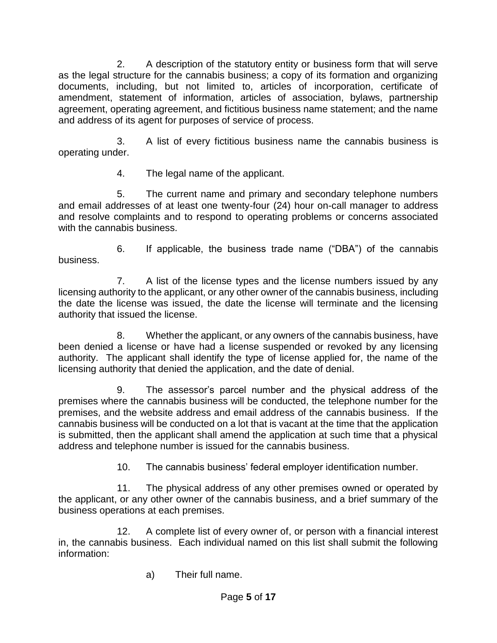2. A description of the statutory entity or business form that will serve as the legal structure for the cannabis business; a copy of its formation and organizing documents, including, but not limited to, articles of incorporation, certificate of amendment, statement of information, articles of association, bylaws, partnership agreement, operating agreement, and fictitious business name statement; and the name and address of its agent for purposes of service of process.

3. A list of every fictitious business name the cannabis business is operating under.

4. The legal name of the applicant.

5. The current name and primary and secondary telephone numbers and email addresses of at least one twenty-four (24) hour on-call manager to address and resolve complaints and to respond to operating problems or concerns associated with the cannabis business.

6. If applicable, the business trade name ("DBA") of the cannabis business.

7. A list of the license types and the license numbers issued by any licensing authority to the applicant, or any other owner of the cannabis business, including the date the license was issued, the date the license will terminate and the licensing authority that issued the license.

8. Whether the applicant, or any owners of the cannabis business, have been denied a license or have had a license suspended or revoked by any licensing authority. The applicant shall identify the type of license applied for, the name of the licensing authority that denied the application, and the date of denial.

9. The assessor's parcel number and the physical address of the premises where the cannabis business will be conducted, the telephone number for the premises, and the website address and email address of the cannabis business. If the cannabis business will be conducted on a lot that is vacant at the time that the application is submitted, then the applicant shall amend the application at such time that a physical address and telephone number is issued for the cannabis business.

10. The cannabis business' federal employer identification number.

11. The physical address of any other premises owned or operated by the applicant, or any other owner of the cannabis business, and a brief summary of the business operations at each premises.

12. A complete list of every owner of, or person with a financial interest in, the cannabis business. Each individual named on this list shall submit the following information:

a) Their full name.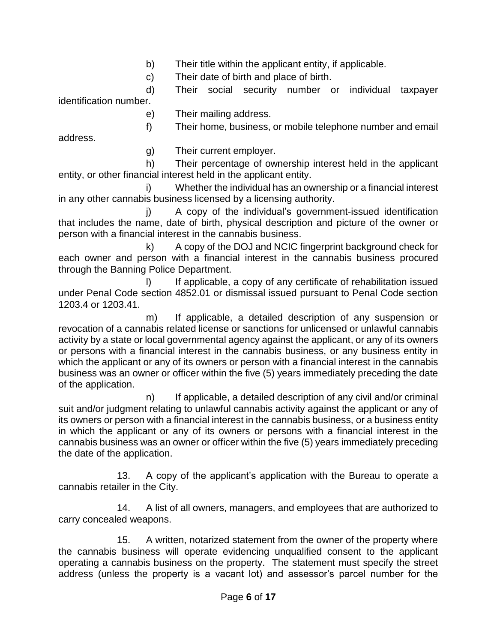b) Their title within the applicant entity, if applicable.

c) Their date of birth and place of birth.

d) Their social security number or individual taxpayer identification number.

e) Their mailing address.

f) Their home, business, or mobile telephone number and email

address.

g) Their current employer.

h) Their percentage of ownership interest held in the applicant entity, or other financial interest held in the applicant entity.

i) Whether the individual has an ownership or a financial interest in any other cannabis business licensed by a licensing authority.

j) A copy of the individual's government-issued identification that includes the name, date of birth, physical description and picture of the owner or person with a financial interest in the cannabis business.

k) A copy of the DOJ and NCIC fingerprint background check for each owner and person with a financial interest in the cannabis business procured through the Banning Police Department.

I) If applicable, a copy of any certificate of rehabilitation issued under Penal Code section 4852.01 or dismissal issued pursuant to Penal Code section 1203.4 or 1203.41.

m) If applicable, a detailed description of any suspension or revocation of a cannabis related license or sanctions for unlicensed or unlawful cannabis activity by a state or local governmental agency against the applicant, or any of its owners or persons with a financial interest in the cannabis business, or any business entity in which the applicant or any of its owners or person with a financial interest in the cannabis business was an owner or officer within the five (5) years immediately preceding the date of the application.

n) If applicable, a detailed description of any civil and/or criminal suit and/or judgment relating to unlawful cannabis activity against the applicant or any of its owners or person with a financial interest in the cannabis business, or a business entity in which the applicant or any of its owners or persons with a financial interest in the cannabis business was an owner or officer within the five (5) years immediately preceding the date of the application.

13. A copy of the applicant's application with the Bureau to operate a cannabis retailer in the City.

14. A list of all owners, managers, and employees that are authorized to carry concealed weapons.

15. A written, notarized statement from the owner of the property where the cannabis business will operate evidencing unqualified consent to the applicant operating a cannabis business on the property. The statement must specify the street address (unless the property is a vacant lot) and assessor's parcel number for the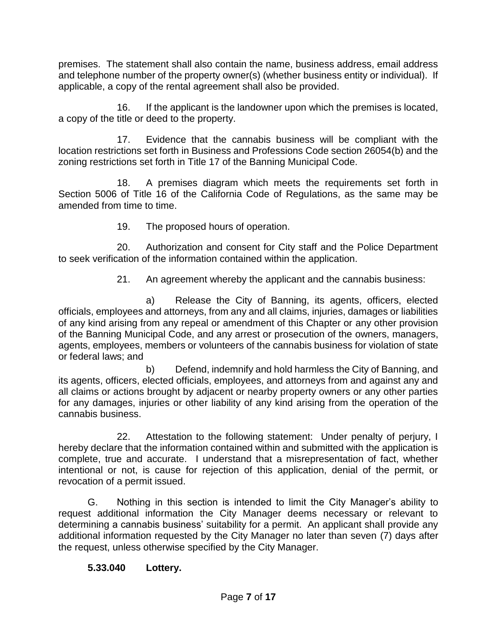premises. The statement shall also contain the name, business address, email address and telephone number of the property owner(s) (whether business entity or individual). If applicable, a copy of the rental agreement shall also be provided.

16. If the applicant is the landowner upon which the premises is located, a copy of the title or deed to the property.

17. Evidence that the cannabis business will be compliant with the location restrictions set forth in Business and Professions Code section 26054(b) and the zoning restrictions set forth in Title 17 of the Banning Municipal Code.

18. A premises diagram which meets the requirements set forth in Section 5006 of Title 16 of the California Code of Regulations, as the same may be amended from time to time.

19. The proposed hours of operation.

20. Authorization and consent for City staff and the Police Department to seek verification of the information contained within the application.

21. An agreement whereby the applicant and the cannabis business:

a) Release the City of Banning, its agents, officers, elected officials, employees and attorneys, from any and all claims, injuries, damages or liabilities of any kind arising from any repeal or amendment of this Chapter or any other provision of the Banning Municipal Code, and any arrest or prosecution of the owners, managers, agents, employees, members or volunteers of the cannabis business for violation of state or federal laws; and

b) Defend, indemnify and hold harmless the City of Banning, and its agents, officers, elected officials, employees, and attorneys from and against any and all claims or actions brought by adjacent or nearby property owners or any other parties for any damages, injuries or other liability of any kind arising from the operation of the cannabis business.

22. Attestation to the following statement: Under penalty of perjury, I hereby declare that the information contained within and submitted with the application is complete, true and accurate. I understand that a misrepresentation of fact, whether intentional or not, is cause for rejection of this application, denial of the permit, or revocation of a permit issued.

G. Nothing in this section is intended to limit the City Manager's ability to request additional information the City Manager deems necessary or relevant to determining a cannabis business' suitability for a permit. An applicant shall provide any additional information requested by the City Manager no later than seven (7) days after the request, unless otherwise specified by the City Manager.

### **5.33.040 Lottery.**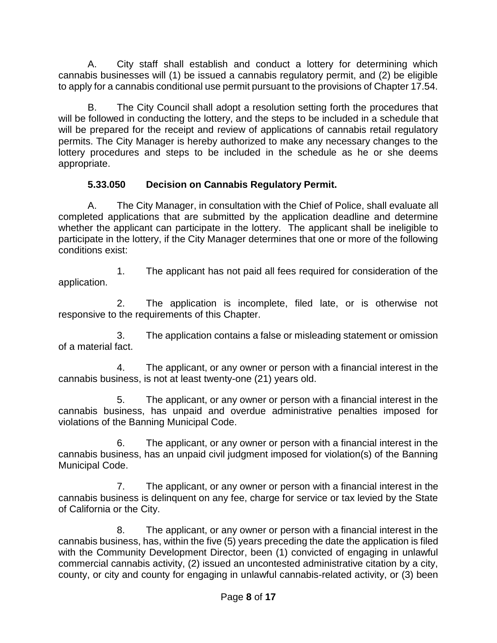A. City staff shall establish and conduct a lottery for determining which cannabis businesses will (1) be issued a cannabis regulatory permit, and (2) be eligible to apply for a cannabis conditional use permit pursuant to the provisions of Chapter 17.54.

B. The City Council shall adopt a resolution setting forth the procedures that will be followed in conducting the lottery, and the steps to be included in a schedule that will be prepared for the receipt and review of applications of cannabis retail regulatory permits. The City Manager is hereby authorized to make any necessary changes to the lottery procedures and steps to be included in the schedule as he or she deems appropriate.

### **5.33.050 Decision on Cannabis Regulatory Permit.**

A. The City Manager, in consultation with the Chief of Police, shall evaluate all completed applications that are submitted by the application deadline and determine whether the applicant can participate in the lottery. The applicant shall be ineligible to participate in the lottery, if the City Manager determines that one or more of the following conditions exist:

1. The applicant has not paid all fees required for consideration of the application.

2. The application is incomplete, filed late, or is otherwise not responsive to the requirements of this Chapter.

3. The application contains a false or misleading statement or omission of a material fact.

4. The applicant, or any owner or person with a financial interest in the cannabis business, is not at least twenty-one (21) years old.

5. The applicant, or any owner or person with a financial interest in the cannabis business, has unpaid and overdue administrative penalties imposed for violations of the Banning Municipal Code.

6. The applicant, or any owner or person with a financial interest in the cannabis business, has an unpaid civil judgment imposed for violation(s) of the Banning Municipal Code.

7. The applicant, or any owner or person with a financial interest in the cannabis business is delinquent on any fee, charge for service or tax levied by the State of California or the City.

8. The applicant, or any owner or person with a financial interest in the cannabis business, has, within the five (5) years preceding the date the application is filed with the Community Development Director, been (1) convicted of engaging in unlawful commercial cannabis activity, (2) issued an uncontested administrative citation by a city, county, or city and county for engaging in unlawful cannabis-related activity, or (3) been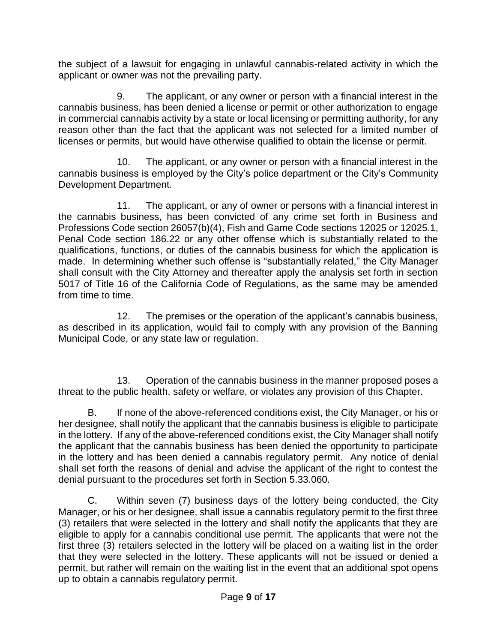the subject of a lawsuit for engaging in unlawful cannabis-related activity in which the applicant or owner was not the prevailing party.

9. The applicant, or any owner or person with a financial interest in the cannabis business, has been denied a license or permit or other authorization to engage in commercial cannabis activity by a state or local licensing or permitting authority, for any reason other than the fact that the applicant was not selected for a limited number of licenses or permits, but would have otherwise qualified to obtain the license or permit.

10. The applicant, or any owner or person with a financial interest in the cannabis business is employed by the City's police department or the City's Community Development Department.

11. The applicant, or any of owner or persons with a financial interest in the cannabis business, has been convicted of any crime set forth in Business and Professions Code section 26057(b)(4), Fish and Game Code sections 12025 or 12025.1, Penal Code section 186.22 or any other offense which is substantially related to the qualifications, functions, or duties of the cannabis business for which the application is made. In determining whether such offense is "substantially related," the City Manager shall consult with the City Attorney and thereafter apply the analysis set forth in section 5017 of Title 16 of the California Code of Regulations, as the same may be amended from time to time.

12. The premises or the operation of the applicant's cannabis business, as described in its application, would fail to comply with any provision of the Banning Municipal Code, or any state law or regulation.

13. Operation of the cannabis business in the manner proposed poses a threat to the public health, safety or welfare, or violates any provision of this Chapter.

B. If none of the above-referenced conditions exist, the City Manager, or his or her designee, shall notify the applicant that the cannabis business is eligible to participate in the lottery. If any of the above-referenced conditions exist, the City Manager shall notify the applicant that the cannabis business has been denied the opportunity to participate in the lottery and has been denied a cannabis regulatory permit. Any notice of denial shall set forth the reasons of denial and advise the applicant of the right to contest the denial pursuant to the procedures set forth in Section 5.33.060.

C. Within seven (7) business days of the lottery being conducted, the City Manager, or his or her designee, shall issue a cannabis regulatory permit to the first three (3) retailers that were selected in the lottery and shall notify the applicants that they are eligible to apply for a cannabis conditional use permit. The applicants that were not the first three (3) retailers selected in the lottery will be placed on a waiting list in the order that they were selected in the lottery. These applicants will not be issued or denied a permit, but rather will remain on the waiting list in the event that an additional spot opens up to obtain a cannabis regulatory permit.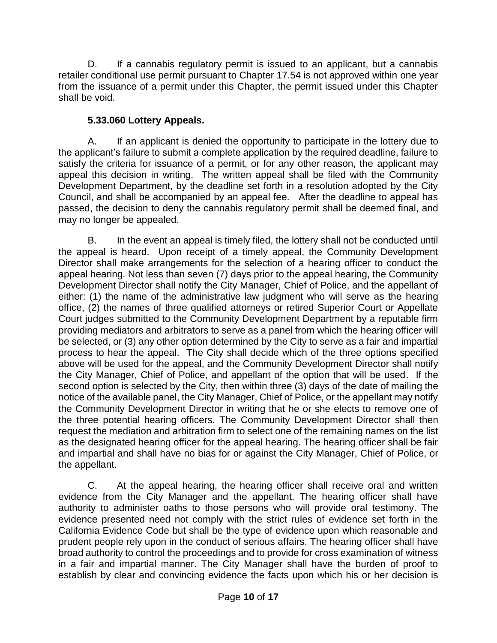D. If a cannabis regulatory permit is issued to an applicant, but a cannabis retailer conditional use permit pursuant to Chapter 17.54 is not approved within one year from the issuance of a permit under this Chapter, the permit issued under this Chapter shall be void.

### **5.33.060 Lottery Appeals.**

A. If an applicant is denied the opportunity to participate in the lottery due to the applicant's failure to submit a complete application by the required deadline, failure to satisfy the criteria for issuance of a permit, or for any other reason, the applicant may appeal this decision in writing. The written appeal shall be filed with the Community Development Department, by the deadline set forth in a resolution adopted by the City Council, and shall be accompanied by an appeal fee. After the deadline to appeal has passed, the decision to deny the cannabis regulatory permit shall be deemed final, and may no longer be appealed.

B. In the event an appeal is timely filed, the lottery shall not be conducted until the appeal is heard. Upon receipt of a timely appeal, the Community Development Director shall make arrangements for the selection of a hearing officer to conduct the appeal hearing. Not less than seven (7) days prior to the appeal hearing, the Community Development Director shall notify the City Manager, Chief of Police, and the appellant of either: (1) the name of the administrative law judgment who will serve as the hearing office, (2) the names of three qualified attorneys or retired Superior Court or Appellate Court judges submitted to the Community Development Department by a reputable firm providing mediators and arbitrators to serve as a panel from which the hearing officer will be selected, or (3) any other option determined by the City to serve as a fair and impartial process to hear the appeal. The City shall decide which of the three options specified above will be used for the appeal, and the Community Development Director shall notify the City Manager, Chief of Police, and appellant of the option that will be used. If the second option is selected by the City, then within three (3) days of the date of mailing the notice of the available panel, the City Manager, Chief of Police, or the appellant may notify the Community Development Director in writing that he or she elects to remove one of the three potential hearing officers. The Community Development Director shall then request the mediation and arbitration firm to select one of the remaining names on the list as the designated hearing officer for the appeal hearing. The hearing officer shall be fair and impartial and shall have no bias for or against the City Manager, Chief of Police, or the appellant.

C. At the appeal hearing, the hearing officer shall receive oral and written evidence from the City Manager and the appellant. The hearing officer shall have authority to administer oaths to those persons who will provide oral testimony. The evidence presented need not comply with the strict rules of evidence set forth in the California Evidence Code but shall be the type of evidence upon which reasonable and prudent people rely upon in the conduct of serious affairs. The hearing officer shall have broad authority to control the proceedings and to provide for cross examination of witness in a fair and impartial manner. The City Manager shall have the burden of proof to establish by clear and convincing evidence the facts upon which his or her decision is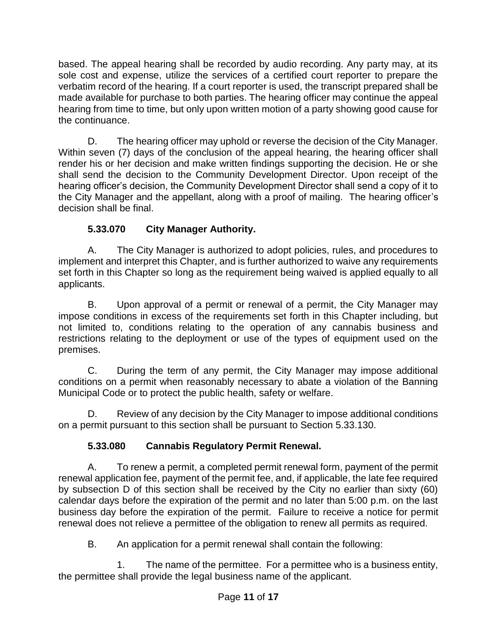based. The appeal hearing shall be recorded by audio recording. Any party may, at its sole cost and expense, utilize the services of a certified court reporter to prepare the verbatim record of the hearing. If a court reporter is used, the transcript prepared shall be made available for purchase to both parties. The hearing officer may continue the appeal hearing from time to time, but only upon written motion of a party showing good cause for the continuance.

D. The hearing officer may uphold or reverse the decision of the City Manager. Within seven (7) days of the conclusion of the appeal hearing, the hearing officer shall render his or her decision and make written findings supporting the decision. He or she shall send the decision to the Community Development Director. Upon receipt of the hearing officer's decision, the Community Development Director shall send a copy of it to the City Manager and the appellant, along with a proof of mailing. The hearing officer's decision shall be final.

# **5.33.070 City Manager Authority.**

A. The City Manager is authorized to adopt policies, rules, and procedures to implement and interpret this Chapter, and is further authorized to waive any requirements set forth in this Chapter so long as the requirement being waived is applied equally to all applicants.

B. Upon approval of a permit or renewal of a permit, the City Manager may impose conditions in excess of the requirements set forth in this Chapter including, but not limited to, conditions relating to the operation of any cannabis business and restrictions relating to the deployment or use of the types of equipment used on the premises.

C. During the term of any permit, the City Manager may impose additional conditions on a permit when reasonably necessary to abate a violation of the Banning Municipal Code or to protect the public health, safety or welfare.

D. Review of any decision by the City Manager to impose additional conditions on a permit pursuant to this section shall be pursuant to Section 5.33.130.

# **5.33.080 Cannabis Regulatory Permit Renewal.**

A. To renew a permit, a completed permit renewal form, payment of the permit renewal application fee, payment of the permit fee, and, if applicable, the late fee required by subsection D of this section shall be received by the City no earlier than sixty (60) calendar days before the expiration of the permit and no later than 5:00 p.m. on the last business day before the expiration of the permit. Failure to receive a notice for permit renewal does not relieve a permittee of the obligation to renew all permits as required.

B. An application for a permit renewal shall contain the following:

1. The name of the permittee. For a permittee who is a business entity, the permittee shall provide the legal business name of the applicant.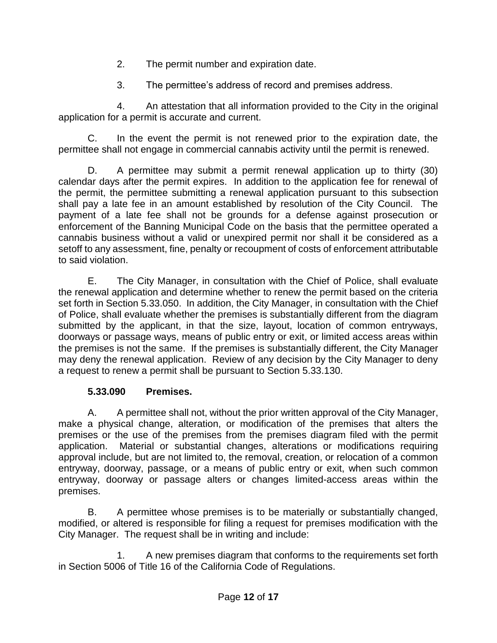- 2. The permit number and expiration date.
- 3. The permittee's address of record and premises address.

4. An attestation that all information provided to the City in the original application for a permit is accurate and current.

C. In the event the permit is not renewed prior to the expiration date, the permittee shall not engage in commercial cannabis activity until the permit is renewed.

D. A permittee may submit a permit renewal application up to thirty (30) calendar days after the permit expires. In addition to the application fee for renewal of the permit, the permittee submitting a renewal application pursuant to this subsection shall pay a late fee in an amount established by resolution of the City Council. The payment of a late fee shall not be grounds for a defense against prosecution or enforcement of the Banning Municipal Code on the basis that the permittee operated a cannabis business without a valid or unexpired permit nor shall it be considered as a setoff to any assessment, fine, penalty or recoupment of costs of enforcement attributable to said violation.

E. The City Manager, in consultation with the Chief of Police, shall evaluate the renewal application and determine whether to renew the permit based on the criteria set forth in Section 5.33.050. In addition, the City Manager, in consultation with the Chief of Police, shall evaluate whether the premises is substantially different from the diagram submitted by the applicant, in that the size, layout, location of common entryways, doorways or passage ways, means of public entry or exit, or limited access areas within the premises is not the same. If the premises is substantially different, the City Manager may deny the renewal application. Review of any decision by the City Manager to deny a request to renew a permit shall be pursuant to Section 5.33.130.

### **5.33.090 Premises.**

A. A permittee shall not, without the prior written approval of the City Manager, make a physical change, alteration, or modification of the premises that alters the premises or the use of the premises from the premises diagram filed with the permit application. Material or substantial changes, alterations or modifications requiring approval include, but are not limited to, the removal, creation, or relocation of a common entryway, doorway, passage, or a means of public entry or exit, when such common entryway, doorway or passage alters or changes limited-access areas within the premises.

B. A permittee whose premises is to be materially or substantially changed, modified, or altered is responsible for filing a request for premises modification with the City Manager. The request shall be in writing and include:

1. A new premises diagram that conforms to the requirements set forth in Section 5006 of Title 16 of the California Code of Regulations.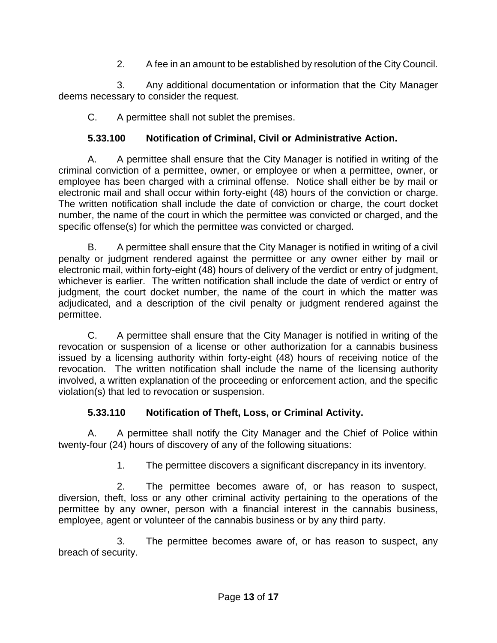2. A fee in an amount to be established by resolution of the City Council.

3. Any additional documentation or information that the City Manager deems necessary to consider the request.

C. A permittee shall not sublet the premises.

## **5.33.100 Notification of Criminal, Civil or Administrative Action.**

A. A permittee shall ensure that the City Manager is notified in writing of the criminal conviction of a permittee, owner, or employee or when a permittee, owner, or employee has been charged with a criminal offense. Notice shall either be by mail or electronic mail and shall occur within forty-eight (48) hours of the conviction or charge. The written notification shall include the date of conviction or charge, the court docket number, the name of the court in which the permittee was convicted or charged, and the specific offense(s) for which the permittee was convicted or charged.

B. A permittee shall ensure that the City Manager is notified in writing of a civil penalty or judgment rendered against the permittee or any owner either by mail or electronic mail, within forty-eight (48) hours of delivery of the verdict or entry of judgment, whichever is earlier. The written notification shall include the date of verdict or entry of judgment, the court docket number, the name of the court in which the matter was adjudicated, and a description of the civil penalty or judgment rendered against the permittee.

C. A permittee shall ensure that the City Manager is notified in writing of the revocation or suspension of a license or other authorization for a cannabis business issued by a licensing authority within forty-eight (48) hours of receiving notice of the revocation. The written notification shall include the name of the licensing authority involved, a written explanation of the proceeding or enforcement action, and the specific violation(s) that led to revocation or suspension.

### **5.33.110 Notification of Theft, Loss, or Criminal Activity.**

A. A permittee shall notify the City Manager and the Chief of Police within twenty-four (24) hours of discovery of any of the following situations:

1. The permittee discovers a significant discrepancy in its inventory.

2. The permittee becomes aware of, or has reason to suspect, diversion, theft, loss or any other criminal activity pertaining to the operations of the permittee by any owner, person with a financial interest in the cannabis business, employee, agent or volunteer of the cannabis business or by any third party.

3. The permittee becomes aware of, or has reason to suspect, any breach of security.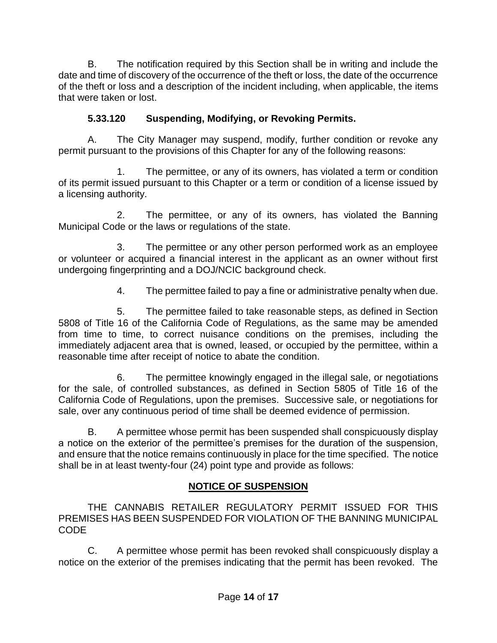B. The notification required by this Section shall be in writing and include the date and time of discovery of the occurrence of the theft or loss, the date of the occurrence of the theft or loss and a description of the incident including, when applicable, the items that were taken or lost.

### **5.33.120 Suspending, Modifying, or Revoking Permits.**

A. The City Manager may suspend, modify, further condition or revoke any permit pursuant to the provisions of this Chapter for any of the following reasons:

1. The permittee, or any of its owners, has violated a term or condition of its permit issued pursuant to this Chapter or a term or condition of a license issued by a licensing authority.

2. The permittee, or any of its owners, has violated the Banning Municipal Code or the laws or regulations of the state.

3. The permittee or any other person performed work as an employee or volunteer or acquired a financial interest in the applicant as an owner without first undergoing fingerprinting and a DOJ/NCIC background check.

4. The permittee failed to pay a fine or administrative penalty when due.

5. The permittee failed to take reasonable steps, as defined in Section 5808 of Title 16 of the California Code of Regulations, as the same may be amended from time to time, to correct nuisance conditions on the premises, including the immediately adjacent area that is owned, leased, or occupied by the permittee, within a reasonable time after receipt of notice to abate the condition.

6. The permittee knowingly engaged in the illegal sale, or negotiations for the sale, of controlled substances, as defined in Section 5805 of Title 16 of the California Code of Regulations, upon the premises. Successive sale, or negotiations for sale, over any continuous period of time shall be deemed evidence of permission.

B. A permittee whose permit has been suspended shall conspicuously display a notice on the exterior of the permittee's premises for the duration of the suspension, and ensure that the notice remains continuously in place for the time specified. The notice shall be in at least twenty-four (24) point type and provide as follows:

### **NOTICE OF SUSPENSION**

THE CANNABIS RETAILER REGULATORY PERMIT ISSUED FOR THIS PREMISES HAS BEEN SUSPENDED FOR VIOLATION OF THE BANNING MUNICIPAL CODE

C. A permittee whose permit has been revoked shall conspicuously display a notice on the exterior of the premises indicating that the permit has been revoked. The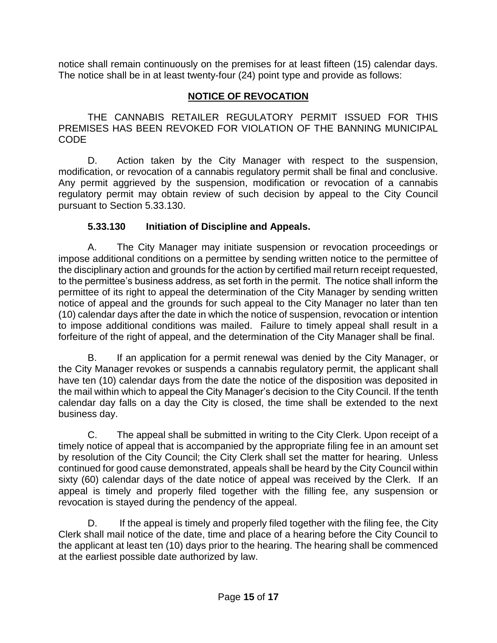notice shall remain continuously on the premises for at least fifteen (15) calendar days. The notice shall be in at least twenty-four (24) point type and provide as follows:

### **NOTICE OF REVOCATION**

THE CANNABIS RETAILER REGULATORY PERMIT ISSUED FOR THIS PREMISES HAS BEEN REVOKED FOR VIOLATION OF THE BANNING MUNICIPAL CODE

D. Action taken by the City Manager with respect to the suspension, modification, or revocation of a cannabis regulatory permit shall be final and conclusive. Any permit aggrieved by the suspension, modification or revocation of a cannabis regulatory permit may obtain review of such decision by appeal to the City Council pursuant to Section 5.33.130.

### **5.33.130 Initiation of Discipline and Appeals.**

A. The City Manager may initiate suspension or revocation proceedings or impose additional conditions on a permittee by sending written notice to the permittee of the disciplinary action and grounds for the action by certified mail return receipt requested, to the permittee's business address, as set forth in the permit. The notice shall inform the permittee of its right to appeal the determination of the City Manager by sending written notice of appeal and the grounds for such appeal to the City Manager no later than ten (10) calendar days after the date in which the notice of suspension, revocation or intention to impose additional conditions was mailed. Failure to timely appeal shall result in a forfeiture of the right of appeal, and the determination of the City Manager shall be final.

B. If an application for a permit renewal was denied by the City Manager, or the City Manager revokes or suspends a cannabis regulatory permit, the applicant shall have ten (10) calendar days from the date the notice of the disposition was deposited in the mail within which to appeal the City Manager's decision to the City Council. If the tenth calendar day falls on a day the City is closed, the time shall be extended to the next business day.

C. The appeal shall be submitted in writing to the City Clerk. Upon receipt of a timely notice of appeal that is accompanied by the appropriate filing fee in an amount set by resolution of the City Council; the City Clerk shall set the matter for hearing. Unless continued for good cause demonstrated, appeals shall be heard by the City Council within sixty (60) calendar days of the date notice of appeal was received by the Clerk. If an appeal is timely and properly filed together with the filling fee, any suspension or revocation is stayed during the pendency of the appeal.

D. If the appeal is timely and properly filed together with the filing fee, the City Clerk shall mail notice of the date, time and place of a hearing before the City Council to the applicant at least ten (10) days prior to the hearing. The hearing shall be commenced at the earliest possible date authorized by law.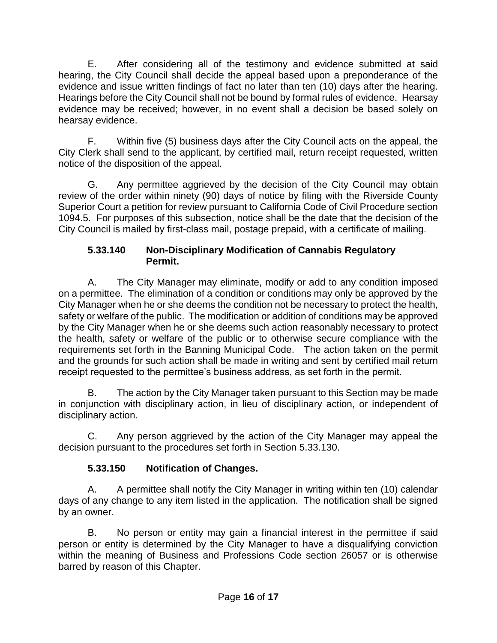E. After considering all of the testimony and evidence submitted at said hearing, the City Council shall decide the appeal based upon a preponderance of the evidence and issue written findings of fact no later than ten (10) days after the hearing. Hearings before the City Council shall not be bound by formal rules of evidence. Hearsay evidence may be received; however, in no event shall a decision be based solely on hearsay evidence.

F. Within five (5) business days after the City Council acts on the appeal, the City Clerk shall send to the applicant, by certified mail, return receipt requested, written notice of the disposition of the appeal.

G. Any permittee aggrieved by the decision of the City Council may obtain review of the order within ninety (90) days of notice by filing with the Riverside County Superior Court a petition for review pursuant to California Code of Civil Procedure section 1094.5. For purposes of this subsection, notice shall be the date that the decision of the City Council is mailed by first-class mail, postage prepaid, with a certificate of mailing.

#### **5.33.140 Non-Disciplinary Modification of Cannabis Regulatory Permit.**

A. The City Manager may eliminate, modify or add to any condition imposed on a permittee. The elimination of a condition or conditions may only be approved by the City Manager when he or she deems the condition not be necessary to protect the health, safety or welfare of the public. The modification or addition of conditions may be approved by the City Manager when he or she deems such action reasonably necessary to protect the health, safety or welfare of the public or to otherwise secure compliance with the requirements set forth in the Banning Municipal Code. The action taken on the permit and the grounds for such action shall be made in writing and sent by certified mail return receipt requested to the permittee's business address, as set forth in the permit.

B. The action by the City Manager taken pursuant to this Section may be made in conjunction with disciplinary action, in lieu of disciplinary action, or independent of disciplinary action.

C. Any person aggrieved by the action of the City Manager may appeal the decision pursuant to the procedures set forth in Section 5.33.130.

### **5.33.150 Notification of Changes.**

A. A permittee shall notify the City Manager in writing within ten (10) calendar days of any change to any item listed in the application. The notification shall be signed by an owner.

B. No person or entity may gain a financial interest in the permittee if said person or entity is determined by the City Manager to have a disqualifying conviction within the meaning of Business and Professions Code section 26057 or is otherwise barred by reason of this Chapter.